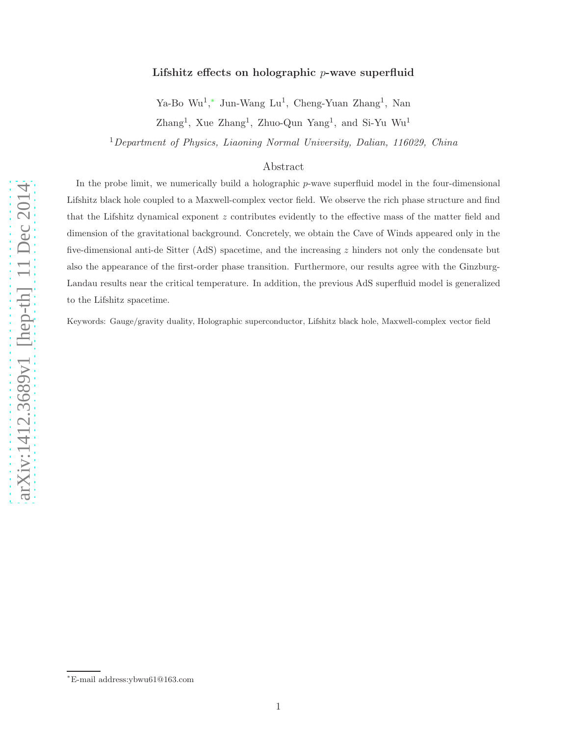# Lifshitz effects on holographic p-wave superfluid

Ya-Bo Wu<sup>1</sup>,\* Jun-Wang Lu<sup>1</sup>, Cheng-Yuan Zhang<sup>1</sup>, Nan

 $\text{Zhang}^1$ , Xue  $\text{Zhang}^1$ , Zhuo-Qun Yang<sup>1</sup>, and Si-Yu Wu<sup>1</sup>

<sup>1</sup>Department of Physics, Liaoning Normal University, Dalian, 116029, China

# Abstract

In the probe limit, we numerically build a holographic  $p$ -wave superfluid model in the four-dimensional Lifshitz black hole coupled to a Maxwell-complex vector field. We observe the rich phase structure and find that the Lifshitz dynamical exponent z contributes evidently to the effective mass of the matter field and dimension of the gravitational background. Concretely, we obtain the Cave of Winds appeared only in the five-dimensional anti-de Sitter (AdS) spacetime, and the increasin g z hinders not only the condensate but also the appearance of the first-order phase transition. Furthermore, our results agree with the Ginzburg-Landau results near the critical temperature. In addition, the previous AdS superfluid model is generalized to the Lifshitz spacetime.

Keywords: Gauge/gravity duality, Holographic superconductor, Lifshitz black hole, Maxwell-complex vector field

<sup>∗</sup>E-mail address:ybwu61@163.com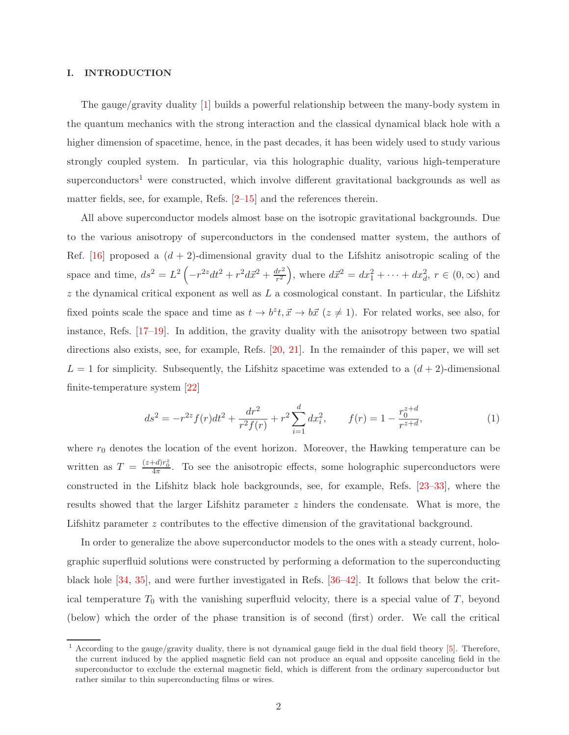#### I. INTRODUCTION

The gauge/gravity duality [1] builds a powerful relationship between the many-body system in the quantum mechanics with the strong interaction and the classical dynamical black hole with a higher dimension of spacetime, hence, in the past decades, it has been widely used to study various strongly coupled system. In particular, via this holographic duality, various high-temperature superconductors<sup>1</sup> were constructed, which involve different gravitational backgrounds as well as matter fields, see, for example, Refs.  $[2-15]$  and the references therein.

All above superconductor models almost base on the isotropic gravitational backgrounds. Due to the various anisotropy of superconductors in the condensed matter system, the authors of Ref. [16] proposed a  $(d + 2)$ -dimensional gravity dual to the Lifshitz anisotropic scaling of the space and time,  $ds^2 = L^2 \left( -r^{2z} dt^2 + r^2 d\vec{x}^2 + \frac{dr^2}{r^2} \right)$  $\frac{dr^2}{r^2}$ , where  $d\vec{x}^2 = dx_1^2 + \cdots + dx_d^2$ ,  $r \in (0, \infty)$  and z the dynamical critical exponent as well as  $L$  a cosmological constant. In particular, the Lifshitz fixed points scale the space and time as  $t \to b^z t$ ,  $\vec{x} \to b\vec{x}$  ( $z \neq 1$ ). For related works, see also, for instance, Refs. [17–19]. In addition, the gravity duality with the anisotropy between two spatial directions also exists, see, for example, Refs. [20, 21]. In the remainder of this paper, we will set  $L = 1$  for simplicity. Subsequently, the Lifshitz spacetime was extended to a  $(d + 2)$ -dimensional finite-temperature system [22]

$$
ds^{2} = -r^{2z} f(r)dt^{2} + \frac{dr^{2}}{r^{2} f(r)} + r^{2} \sum_{i=1}^{d} dx_{i}^{2}, \qquad f(r) = 1 - \frac{r_{0}^{z+d}}{r^{z+d}},
$$
 (1)

where  $r_0$  denotes the location of the event horizon. Moreover, the Hawking temperature can be written as  $T = \frac{(z+d)r_0^2}{4\pi}$ . To see the anisotropic effects, some holographic superconductors were constructed in the Lifshitz black hole backgrounds, see, for example, Refs. [23–33], where the results showed that the larger Lifshitz parameter z hinders the condensate. What is more, the Lifshitz parameter z contributes to the effective dimension of the gravitational background.

In order to generalize the above superconductor models to the ones with a steady current, holographic superfluid solutions were constructed by performing a deformation to the superconducting black hole [34, 35], and were further investigated in Refs. [36–42]. It follows that below the critical temperature  $T_0$  with the vanishing superfluid velocity, there is a special value of  $T$ , beyond (below) which the order of the phase transition is of second (first) order. We call the critical

 $1$  According to the gauge/gravity duality, there is not dynamical gauge field in the dual field theory  $[5]$ . Therefore, the current induced by the applied magnetic field can not produce an equal and opposite canceling field in the superconductor to exclude the external magnetic field, which is different from the ordinary superconductor but rather similar to thin superconducting films or wires.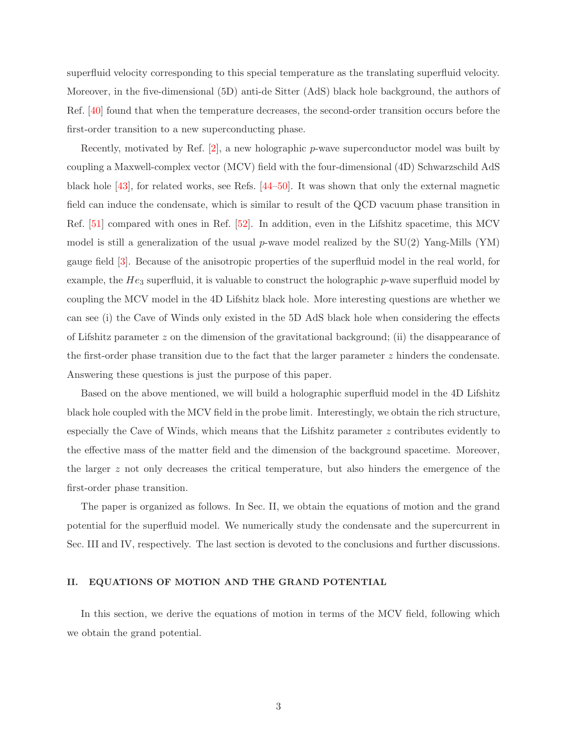superfluid velocity corresponding to this special temperature as the translating superfluid velocity. Moreover, in the five-dimensional (5D) anti-de Sitter (AdS) black hole background, the authors of Ref. [40] found that when the temperature decreases, the second-order transition occurs before the first-order transition to a new superconducting phase.

Recently, motivated by Ref.  $[2]$ , a new holographic p-wave superconductor model was built by coupling a Maxwell-complex vector (MCV) field with the four-dimensional (4D) Schwarzschild AdS black hole [43], for related works, see Refs. [44–50]. It was shown that only the external magnetic field can induce the condensate, which is similar to result of the QCD vacuum phase transition in Ref. [51] compared with ones in Ref. [52]. In addition, even in the Lifshitz spacetime, this MCV model is still a generalization of the usual p-wave model realized by the  $SU(2)$  Yang-Mills (YM) gauge field [3]. Because of the anisotropic properties of the superfluid model in the real world, for example, the  $He_3$  superfluid, it is valuable to construct the holographic  $p$ -wave superfluid model by coupling the MCV model in the 4D Lifshitz black hole. More interesting questions are whether we can see (i) the Cave of Winds only existed in the 5D AdS black hole when considering the effects of Lifshitz parameter  $z$  on the dimension of the gravitational background; (ii) the disappearance of the first-order phase transition due to the fact that the larger parameter z hinders the condensate. Answering these questions is just the purpose of this paper.

Based on the above mentioned, we will build a holographic superfluid model in the 4D Lifshitz black hole coupled with the MCV field in the probe limit. Interestingly, we obtain the rich structure, especially the Cave of Winds, which means that the Lifshitz parameter z contributes evidently to the effective mass of the matter field and the dimension of the background spacetime. Moreover, the larger z not only decreases the critical temperature, but also hinders the emergence of the first-order phase transition.

The paper is organized as follows. In Sec. II, we obtain the equations of motion and the grand potential for the superfluid model. We numerically study the condensate and the supercurrent in Sec. III and IV, respectively. The last section is devoted to the conclusions and further discussions.

## II. EQUATIONS OF MOTION AND THE GRAND POTENTIAL

In this section, we derive the equations of motion in terms of the MCV field, following which we obtain the grand potential.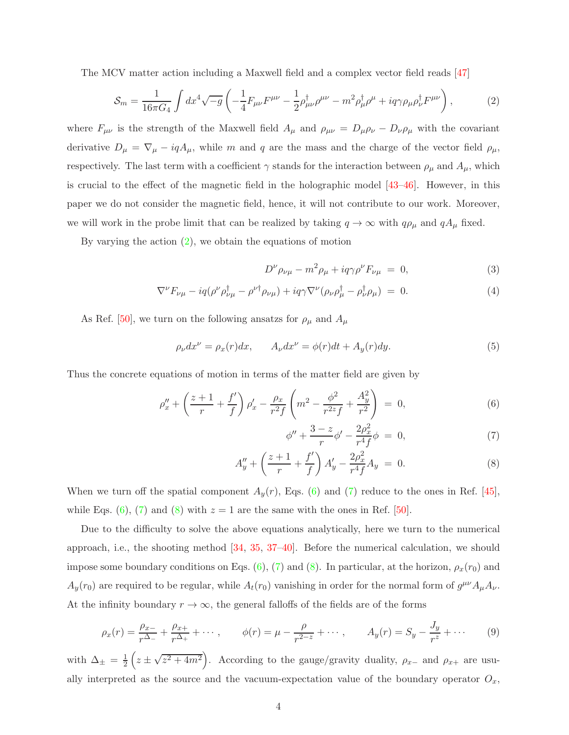The MCV matter action including a Maxwell field and a complex vector field reads [47]

$$
S_m = \frac{1}{16\pi G_4} \int dx^4 \sqrt{-g} \left( -\frac{1}{4} F_{\mu\nu} F^{\mu\nu} - \frac{1}{2} \rho^{\dagger}_{\mu\nu} \rho^{\mu\nu} - m^2 \rho^{\dagger}_{\mu} \rho^{\mu} + i q \gamma \rho_{\mu} \rho^{\dagger}_{\nu} F^{\mu\nu} \right), \tag{2}
$$

where  $F_{\mu\nu}$  is the strength of the Maxwell field  $A_{\mu}$  and  $\rho_{\mu\nu} = D_{\mu}\rho_{\nu} - D_{\nu}\rho_{\mu}$  with the covariant derivative  $D_{\mu} = \nabla_{\mu} - iqA_{\mu}$ , while m and q are the mass and the charge of the vector field  $\rho_{\mu}$ , respectively. The last term with a coefficient  $\gamma$  stands for the interaction between  $\rho_{\mu}$  and  $A_{\mu}$ , which is crucial to the effect of the magnetic field in the holographic model [43–46]. However, in this paper we do not consider the magnetic field, hence, it will not contribute to our work. Moreover, we will work in the probe limit that can be realized by taking  $q \to \infty$  with  $q\rho_\mu$  and  $qA_\mu$  fixed.

By varying the action (2), we obtain the equations of motion

$$
D^{\nu}\rho_{\nu\mu} - m^2\rho_{\mu} + iq\gamma\rho^{\nu}F_{\nu\mu} = 0, \qquad (3)
$$

$$
\nabla^{\nu} F_{\nu\mu} - i q (\rho^{\nu} \rho^{\dagger}_{\nu\mu} - \rho^{\nu \dagger} \rho_{\nu\mu}) + i q \gamma \nabla^{\nu} (\rho_{\nu} \rho^{\dagger}_{\mu} - \rho^{\dagger}_{\nu} \rho_{\mu}) = 0.
$$
 (4)

As Ref. [50], we turn on the following ansatzs for  $\rho_{\mu}$  and  $A_{\mu}$ 

$$
\rho_{\nu}dx^{\nu} = \rho_x(r)dx, \qquad A_{\nu}dx^{\nu} = \phi(r)dt + A_y(r)dy.
$$
\n(5)

Thus the concrete equations of motion in terms of the matter field are given by

$$
\rho''_x + \left(\frac{z+1}{r} + \frac{f'}{f}\right)\rho'_x - \frac{\rho_x}{r^2f}\left(m^2 - \frac{\phi^2}{r^{2z}f} + \frac{A_y^2}{r^2}\right) = 0, \tag{6}
$$

$$
\phi'' + \frac{3-z}{r}\phi' - \frac{2\rho_x^2}{r^4f}\phi = 0, \tag{7}
$$

$$
A''_y + \left(\frac{z+1}{r} + \frac{f'}{f}\right) A'_y - \frac{2\rho_x^2}{r^4 f} A_y = 0.
$$
 (8)

When we turn off the spatial component  $A_y(r)$ , Eqs. (6) and (7) reduce to the ones in Ref. [45], while Eqs. (6), (7) and (8) with  $z = 1$  are the same with the ones in Ref. [50].

Due to the difficulty to solve the above equations analytically, here we turn to the numerical approach, i.e., the shooting method [34, 35, 37–40]. Before the numerical calculation, we should impose some boundary conditions on Eqs. (6), (7) and (8). In particular, at the horizon,  $\rho_x(r_0)$  and  $A_y(r_0)$  are required to be regular, while  $A_t(r_0)$  vanishing in order for the normal form of  $g^{\mu\nu}A_\mu A_\nu$ . At the infinity boundary  $r \to \infty$ , the general falloffs of the fields are of the forms

$$
\rho_x(r) = \frac{\rho_{x-}}{r^{\Delta_-}} + \frac{\rho_{x+}}{r^{\Delta_+}} + \cdots, \qquad \phi(r) = \mu - \frac{\rho}{r^{2-z}} + \cdots, \qquad A_y(r) = S_y - \frac{J_y}{r^z} + \cdots \qquad (9)
$$

with  $\Delta_{\pm} = \frac{1}{2}$  $\frac{1}{2}$   $(z \pm \sqrt{z^2 + 4m^2})$ . According to the gauge/gravity duality,  $\rho_{x-}$  and  $\rho_{x+}$  are usually interpreted as the source and the vacuum-expectation value of the boundary operator  $O_x$ ,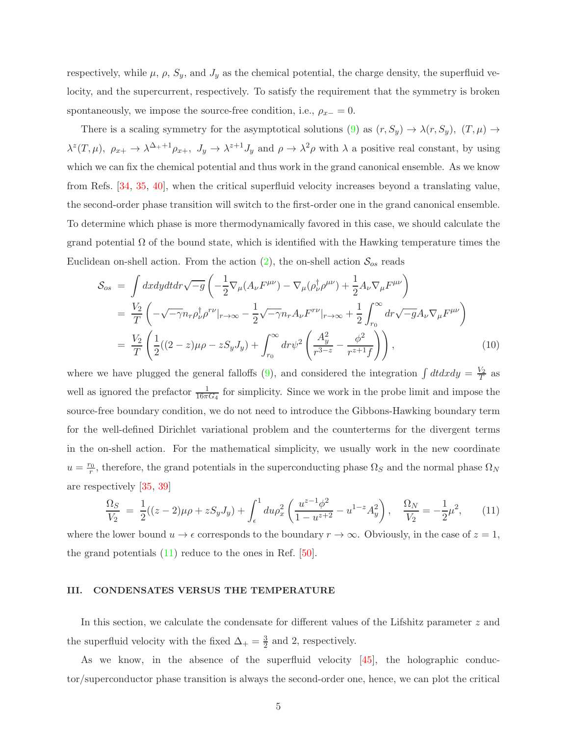respectively, while  $\mu$ ,  $\rho$ ,  $S_y$ , and  $J_y$  as the chemical potential, the charge density, the superfluid velocity, and the supercurrent, respectively. To satisfy the requirement that the symmetry is broken spontaneously, we impose the source-free condition, i.e.,  $\rho_{x-} = 0$ .

There is a scaling symmetry for the asymptotical solutions (9) as  $(r, S_y) \to \lambda(r, S_y)$ ,  $(T, \mu) \to$  $\lambda^z(T,\mu)$ ,  $\rho_{x+} \to \lambda^{\Delta_++1}\rho_{x+}$ ,  $J_y \to \lambda^{z+1}J_y$  and  $\rho \to \lambda^2\rho$  with  $\lambda$  a positive real constant, by using which we can fix the chemical potential and thus work in the grand canonical ensemble. As we know from Refs. [34, 35, 40], when the critical superfluid velocity increases beyond a translating value, the second-order phase transition will switch to the first-order one in the grand canonical ensemble. To determine which phase is more thermodynamically favored in this case, we should calculate the grand potential  $\Omega$  of the bound state, which is identified with the Hawking temperature times the Euclidean on-shell action. From the action  $(2)$ , the on-shell action  $S_{os}$  reads

$$
S_{os} = \int dx dy dt dr \sqrt{-g} \left( -\frac{1}{2} \nabla_{\mu} (A_{\nu} F^{\mu\nu}) - \nabla_{\mu} (\rho_{\nu}^{\dagger} \rho^{\mu\nu}) + \frac{1}{2} A_{\nu} \nabla_{\mu} F^{\mu\nu} \right)
$$
  
\n
$$
= \frac{V_2}{T} \left( -\sqrt{-\gamma} n_r \rho_{\nu}^{\dagger} \rho^{r\nu} |_{r \to \infty} - \frac{1}{2} \sqrt{-\gamma} n_r A_{\nu} F^{r\nu} |_{r \to \infty} + \frac{1}{2} \int_{r_0}^{\infty} dr \sqrt{-g} A_{\nu} \nabla_{\mu} F^{\mu\nu} \right)
$$
  
\n
$$
= \frac{V_2}{T} \left( \frac{1}{2} ((2 - z) \mu \rho - z S_y J_y) + \int_{r_0}^{\infty} dr \psi^2 \left( \frac{A_y^2}{r^{3 - z}} - \frac{\phi^2}{r^{z + 1} f} \right) \right),
$$
 (10)

where we have plugged the general falloffs (9), and considered the integration  $\int dt dx dy = \frac{V_2}{T}$  $\frac{V_2}{T}$  as well as ignored the prefactor  $\frac{1}{16\pi G_4}$  for simplicity. Since we work in the probe limit and impose the source-free boundary condition, we do not need to introduce the Gibbons-Hawking boundary term for the well-defined Dirichlet variational problem and the counterterms for the divergent terms in the on-shell action. For the mathematical simplicity, we usually work in the new coordinate  $u=\frac{r_0}{r}$  $\frac{r_0}{r}$ , therefore, the grand potentials in the superconducting phase  $\Omega_S$  and the normal phase  $\Omega_N$ are respectively [35, 39]

$$
\frac{\Omega_S}{V_2} = \frac{1}{2}((z-2)\mu\rho + zS_y J_y) + \int_{\epsilon}^1 du \rho_x^2 \left(\frac{u^{z-1}\phi^2}{1-u^{z+2}} - u^{1-z}A_y^2\right), \quad \frac{\Omega_N}{V_2} = -\frac{1}{2}\mu^2,\tag{11}
$$

where the lower bound  $u \to \epsilon$  corresponds to the boundary  $r \to \infty$ . Obviously, in the case of  $z = 1$ , the grand potentials (11) reduce to the ones in Ref. [50].

## III. CONDENSATES VERSUS THE TEMPERATURE

In this section, we calculate the condensate for different values of the Lifshitz parameter z and the superfluid velocity with the fixed  $\Delta_+ = \frac{3}{2}$  and 2, respectively.

As we know, in the absence of the superfluid velocity [45], the holographic conductor/superconductor phase transition is always the second-order one, hence, we can plot the critical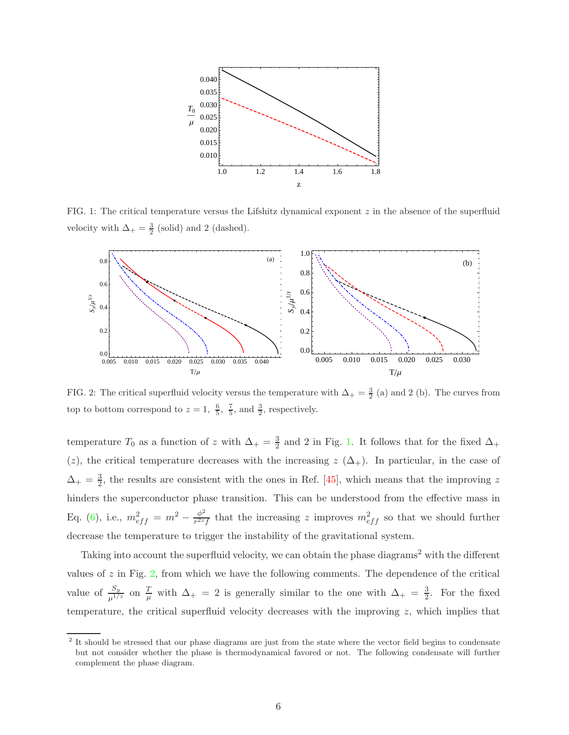

FIG. 1: The critical temperature versus the Lifshitz dynamical exponent  $z$  in the absence of the superfluid velocity with  $\Delta_+ = \frac{3}{2}$  (solid) and 2 (dashed).



FIG. 2: The critical superfluid velocity versus the temperature with  $\Delta_{+}=\frac{3}{2}$  (a) and 2 (b). The curves from top to bottom correspond to  $z = 1, \frac{6}{5}, \frac{7}{5}$ , and  $\frac{3}{2}$ , respectively.

temperature  $T_0$  as a function of z with  $\Delta_+ = \frac{3}{2}$  $\frac{3}{2}$  and 2 in Fig. 1. It follows that for the fixed  $\Delta_+$ (z), the critical temperature decreases with the increasing  $z(\Delta_+)$ . In particular, in the case of  $\Delta_+ = \frac{3}{2}$  $\frac{3}{2}$ , the results are consistent with the ones in Ref. [45], which means that the improving z hinders the superconductor phase transition. This can be understood from the effective mass in Eq. (6), i.e.,  $m_{eff}^2 = m^2 - \frac{\phi^2}{r^{2z}}$  $\frac{\phi^2}{r^{2z}f}$  that the increasing z improves  $m_{eff}^2$  so that we should further decrease the temperature to trigger the instability of the gravitational system.

Taking into account the superfluid velocity, we can obtain the phase diagrams<sup>2</sup> with the different values of  $z$  in Fig.  $2$ , from which we have the following comments. The dependence of the critical value of  $\frac{S_y}{\mu^{1/z}}$  on  $\frac{T}{\mu}$  with  $\Delta_+ = 2$  is generally similar to the one with  $\Delta_+ = \frac{3}{2}$  $\frac{3}{2}$ . For the fixed temperature, the critical superfluid velocity decreases with the improving  $z$ , which implies that

<sup>&</sup>lt;sup>2</sup> It should be stressed that our phase diagrams are just from the state where the vector field begins to condensate but not consider whether the phase is thermodynamical favored or not. The following condensate will further complement the phase diagram.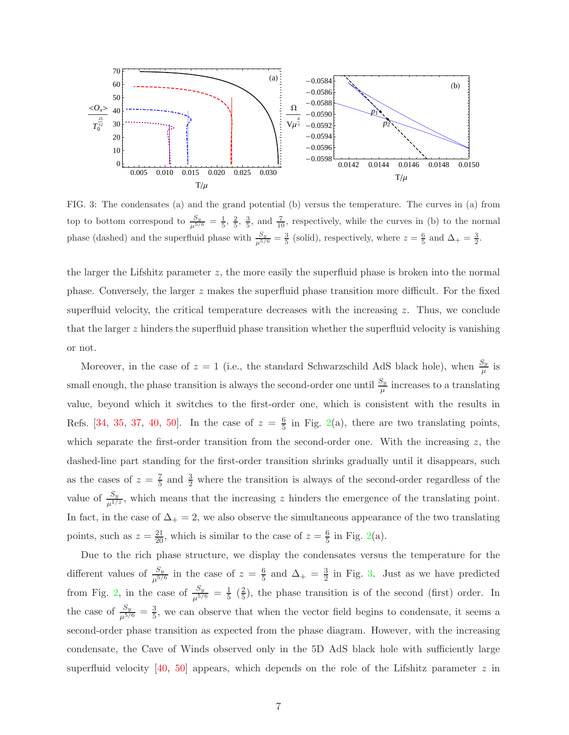

FIG. 3: The condensates (a) and the grand potential (b) versus the temperature. The curves in (a) from top to bottom correspond to  $\frac{S_y}{\mu^{5/6}} = \frac{1}{5}$ ,  $\frac{2}{5}$ ,  $\frac{3}{5}$ , and  $\frac{7}{10}$ , respectively, while the curves in (b) to the normal phase (dashed) and the superfluid phase with  $\frac{S_y}{\mu^{5/6}} = \frac{3}{5}$  (solid), respectively, where  $z = \frac{6}{5}$  and  $\Delta_+ = \frac{3}{2}$ .

the larger the Lifshitz parameter  $z$ , the more easily the superfluid phase is broken into the normal phase. Conversely, the larger  $z$  makes the superfluid phase transition more difficult. For the fixed superfluid velocity, the critical temperature decreases with the increasing  $z$ . Thus, we conclude that the larger  $z$  hinders the superfluid phase transition whether the superfluid velocity is vanishing or not.

Moreover, in the case of  $z = 1$  (i.e., the standard Schwarzschild AdS black hole), when  $\frac{S_y}{\mu}$  is small enough, the phase transition is always the second-order one until  $\frac{S_y}{\mu}$  increases to a translating value, beyond which it switches to the first-order one, which is consistent with the results in Refs. [34, 35, 37, 40, 50]. In the case of  $z = \frac{6}{5}$  $\frac{6}{5}$  in Fig. 2(a), there are two translating points, which separate the first-order transition from the second-order one. With the increasing  $z$ , the dashed-line part standing for the first-order transition shrinks gradually until it disappears, such as the cases of  $z=\frac{7}{5}$  $\frac{7}{5}$  and  $\frac{3}{2}$  where the transition is always of the second-order regardless of the value of  $\frac{S_y}{\mu^{1/z}}$ , which means that the increasing z hinders the emergence of the translating point. In fact, in the case of  $\Delta_{+} = 2$ , we also observe the simultaneous appearance of the two translating points, such as  $z = \frac{21}{20}$ , which is similar to the case of  $z = \frac{6}{5}$  $\frac{6}{5}$  in Fig. 2(a).

Due to the rich phase structure, we display the condensates versus the temperature for the different values of  $\frac{S_y}{\mu^{5/6}}$  in the case of  $z = \frac{6}{5}$  $\frac{6}{5}$  and  $\Delta_{+} = \frac{3}{2}$  $\frac{3}{2}$  in Fig. 3. Just as we have predicted from Fig. 2, in the case of  $\frac{S_y}{\mu^{5/6}} = \frac{1}{5}$  $rac{1}{5}$   $(\frac{2}{5}$  $\frac{2}{5}$ , the phase transition is of the second (first) order. In the case of  $\frac{S_y}{\mu^{5/6}} = \frac{3}{5}$  $\frac{3}{5}$ , we can observe that when the vector field begins to condensate, it seems a second-order phase transition as expected from the phase diagram. However, with the increasing condensate, the Cave of Winds observed only in the 5D AdS black hole with sufficiently large superfluid velocity [40, 50] appears, which depends on the role of the Lifshitz parameter  $z$  in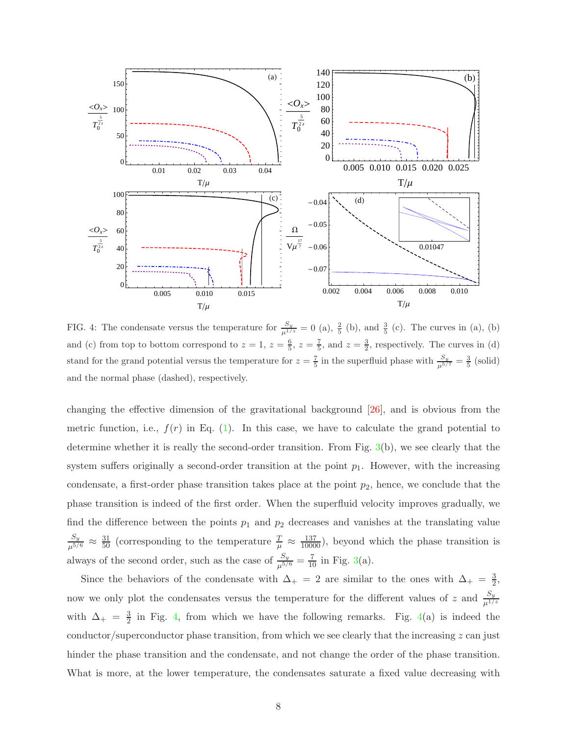

FIG. 4: The condensate versus the temperature for  $\frac{S_y}{\mu^{1/z}} = 0$  (a),  $\frac{2}{5}$  (b), and  $\frac{3}{5}$  (c). The curves in (a), (b) and (c) from top to bottom correspond to  $z = 1$ ,  $z = \frac{6}{5}$ ,  $z = \frac{7}{5}$ , and  $z = \frac{3}{2}$ , respectively. The curves in (d) stand for the grand potential versus the temperature for  $z = \frac{7}{5}$  in the superfluid phase with  $\frac{S_y}{\mu^{5/7}} = \frac{3}{5}$  (solid) and the normal phase (dashed), respectively.

changing the effective dimension of the gravitational background [26], and is obvious from the metric function, i.e.,  $f(r)$  in Eq. (1). In this case, we have to calculate the grand potential to determine whether it is really the second-order transition. From Fig. 3(b), we see clearly that the system suffers originally a second-order transition at the point  $p_1$ . However, with the increasing condensate, a first-order phase transition takes place at the point  $p_2$ , hence, we conclude that the phase transition is indeed of the first order. When the superfluid velocity improves gradually, we find the difference between the points  $p_1$  and  $p_2$  decreases and vanishes at the translating value  $\frac{S_y}{\mu^{5/6}} \approx \frac{31}{50}$  (corresponding to the temperature  $\frac{T}{\mu} \approx \frac{137}{10000}$ ), beyond which the phase transition is always of the second order, such as the case of  $\frac{S_y}{\mu^{5/6}} = \frac{7}{10}$  in Fig. 3(a).

Since the behaviors of the condensate with  $\Delta_+ = 2$  are similar to the ones with  $\Delta_+ = \frac{3}{2}$  $\frac{3}{2}$ now we only plot the condensates versus the temperature for the different values of z and  $\frac{S_y}{\mu^{1/z}}$ with  $\Delta_+ = \frac{3}{2}$  $\frac{3}{2}$  in Fig. 4, from which we have the following remarks. Fig. 4(a) is indeed the conductor/superconductor phase transition, from which we see clearly that the increasing  $z$  can just hinder the phase transition and the condensate, and not change the order of the phase transition. What is more, at the lower temperature, the condensates saturate a fixed value decreasing with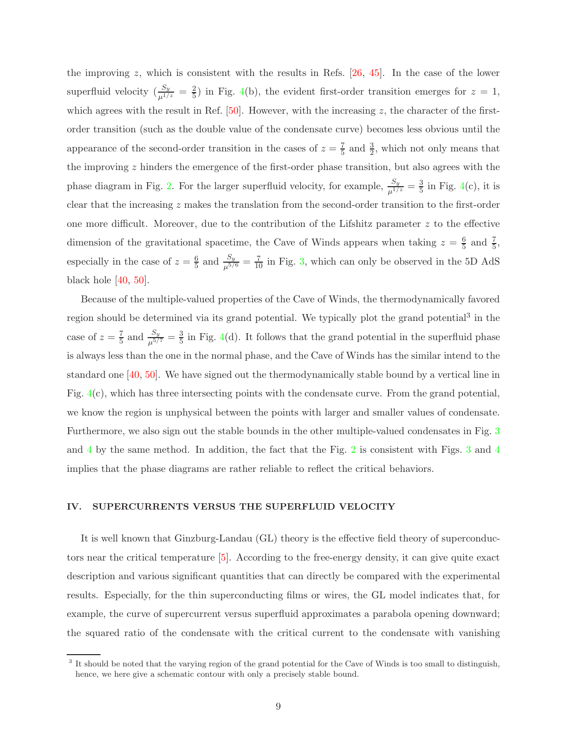the improving z, which is consistent with the results in Refs.  $[26, 45]$ . In the case of the lower superfluid velocity  $(\frac{S_y}{\mu^{1/z}} = \frac{2}{5})$  in Fig. 4(b), the evident first-order transition emerges for  $z = 1$ , which agrees with the result in Ref.  $[50]$ . However, with the increasing z, the character of the firstorder transition (such as the double value of the condensate curve) becomes less obvious until the appearance of the second-order transition in the cases of  $z = \frac{7}{5}$  and  $\frac{3}{2}$ , which not only means that the improving z hinders the emergence of the first-order phase transition, but also agrees with the phase diagram in Fig. 2. For the larger superfluid velocity, for example,  $\frac{S_y}{\mu^{1/z}} = \frac{3}{5}$  $\frac{3}{5}$  in Fig. 4(c), it is clear that the increasing z makes the translation from the second-order transition to the first-order one more difficult. Moreover, due to the contribution of the Lifshitz parameter  $z$  to the effective dimension of the gravitational spacetime, the Cave of Winds appears when taking  $z = \frac{6}{5}$  and  $\frac{7}{5}$ , especially in the case of  $z=\frac{6}{5}$  $\frac{6}{5}$  and  $\frac{S_y}{\mu^{5/6}} = \frac{7}{10}$  in Fig. 3, which can only be observed in the 5D AdS black hole [40, 50].

Because of the multiple-valued properties of the Cave of Winds, the thermodynamically favored region should be determined via its grand potential. We typically plot the grand potential<sup>3</sup> in the case of  $z=\frac{7}{5}$  $\frac{7}{5}$  and  $\frac{S_y}{\mu^{5/7}} = \frac{3}{5}$  $\frac{3}{5}$  in Fig. 4(d). It follows that the grand potential in the superfluid phase is always less than the one in the normal phase, and the Cave of Winds has the similar intend to the standard one [40, 50]. We have signed out the thermodynamically stable bound by a vertical line in Fig. 4(c), which has three intersecting points with the condensate curve. From the grand potential, we know the region is unphysical between the points with larger and smaller values of condensate. Furthermore, we also sign out the stable bounds in the other multiple-valued condensates in Fig. 3 and 4 by the same method. In addition, the fact that the Fig. 2 is consistent with Figs. 3 and 4 implies that the phase diagrams are rather reliable to reflect the critical behaviors.

# IV. SUPERCURRENTS VERSUS THE SUPERFLUID VELOCITY

It is well known that Ginzburg-Landau (GL) theory is the effective field theory of superconductors near the critical temperature [5]. According to the free-energy density, it can give quite exact description and various significant quantities that can directly be compared with the experimental results. Especially, for the thin superconducting films or wires, the GL model indicates that, for example, the curve of supercurrent versus superfluid approximates a parabola opening downward; the squared ratio of the condensate with the critical current to the condensate with vanishing

 $3$  It should be noted that the varying region of the grand potential for the Cave of Winds is too small to distinguish, hence, we here give a schematic contour with only a precisely stable bound.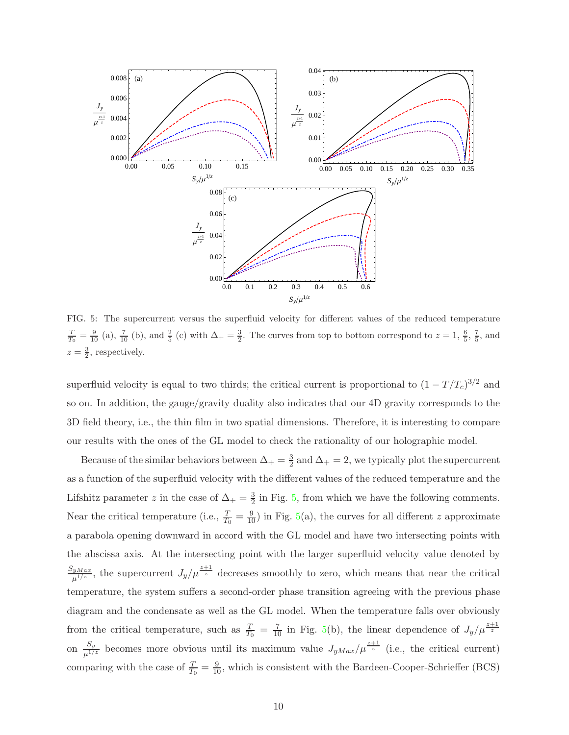

FIG. 5: The supercurrent versus the superfluid velocity for different values of the reduced temperature  $\frac{T}{T_0} = \frac{9}{10}$  (a),  $\frac{7}{10}$  (b), and  $\frac{2}{5}$  (c) with  $\Delta_+ = \frac{3}{2}$ . The curves from top to bottom correspond to  $z = 1, \frac{6}{5}, \frac{7}{5}$ , and  $z=\frac{3}{2}$ , respectively.

superfluid velocity is equal to two thirds; the critical current is proportional to  $(1 - T/T_c)^{3/2}$  and so on. In addition, the gauge/gravity duality also indicates that our 4D gravity corresponds to the 3D field theory, i.e., the thin film in two spatial dimensions. Therefore, it is interesting to compare our results with the ones of the GL model to check the rationality of our holographic model.

Because of the similar behaviors between  $\Delta_+ = \frac{3}{2}$  $\frac{3}{2}$  and  $\Delta_+ = 2$ , we typically plot the supercurrent as a function of the superfluid velocity with the different values of the reduced temperature and the Lifshitz parameter z in the case of  $\Delta_+ = \frac{3}{2}$  $\frac{3}{2}$  in Fig. 5, from which we have the following comments. Near the critical temperature (i.e.,  $\frac{T}{T_0} = \frac{9}{10}$ ) in Fig. 5(a), the curves for all different z approximate a parabola opening downward in accord with the GL model and have two intersecting points with the abscissa axis. At the intersecting point with the larger superfluid velocity value denoted by  $\frac{S_{yMax}}{\mu^{1/z}}$ , the supercurrent  $J_y/\mu^{\frac{z+1}{z}}$  decreases smoothly to zero, which means that near the critical temperature, the system suffers a second-order phase transition agreeing with the previous phase diagram and the condensate as well as the GL model. When the temperature falls over obviously from the critical temperature, such as  $\frac{T}{T_0} = \frac{7}{10}$  in Fig. 5(b), the linear dependence of  $J_y/\mu^{\frac{z+1}{z}}$ on  $\frac{S_y}{\mu^{1/z}}$  becomes more obvious until its maximum value  $J_{yMax}/\mu^{\frac{z+1}{z}}$  (i.e., the critical current) comparing with the case of  $\frac{T}{T_0} = \frac{9}{10}$ , which is consistent with the Bardeen-Cooper-Schrieffer (BCS)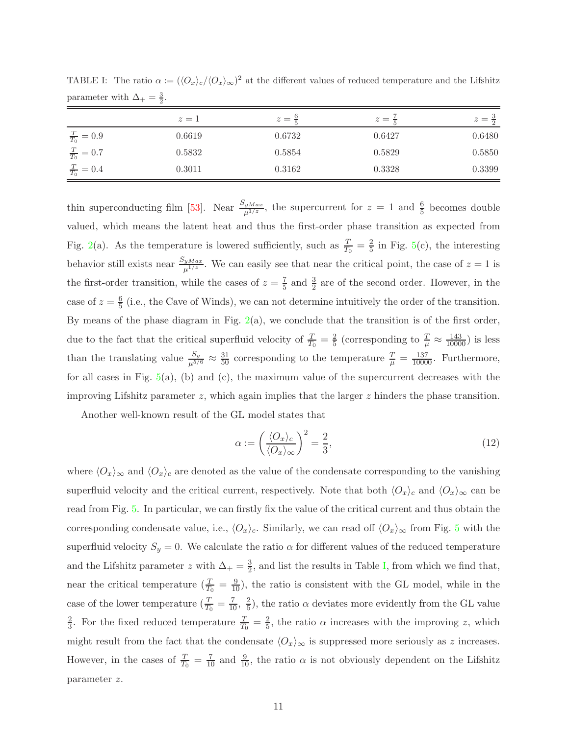|                           | $z=1$  | $z=\frac{9}{7}$ | $z =$<br>$\div$ | $z=\frac{3}{2}$ |
|---------------------------|--------|-----------------|-----------------|-----------------|
| $\frac{T}{T_0}$<br>$=0.9$ | 0.6619 | 0.6732          | 0.6427          | 0.6480          |
| $\frac{T}{T_0} = 0.7$     | 0.5832 | 0.5854          | 0.5829          | 0.5850          |
| $\frac{T}{T_0} = 0.4$     | 0.3011 | 0.3162          | 0.3328          | 0.3399          |

TABLE I: The ratio  $\alpha := (\langle O_x \rangle_c / \langle O_x \rangle_{\infty})^2$  at the different values of reduced temperature and the Lifshitz parameter with  $\Delta_+ = \frac{3}{2}$ .

thin superconducting film [53]. Near  $\frac{S_{yMax}}{\mu^{1/z}}$ , the supercurrent for  $z = 1$  and  $\frac{6}{5}$  becomes double valued, which means the latent heat and thus the first-order phase transition as expected from Fig. 2(a). As the temperature is lowered sufficiently, such as  $\frac{T}{T_0} = \frac{2}{5}$  $\frac{2}{5}$  in Fig. 5(c), the interesting behavior still exists near  $\frac{S_{yMax}}{\mu^{1/z}}$ . We can easily see that near the critical point, the case of  $z=1$  is the first-order transition, while the cases of  $z = \frac{7}{5}$  $\frac{7}{5}$  and  $\frac{3}{2}$  are of the second order. However, in the case of  $z=\frac{6}{5}$  $\frac{6}{5}$  (i.e., the Cave of Winds), we can not determine intuitively the order of the transition. By means of the phase diagram in Fig.  $2(a)$ , we conclude that the transition is of the first order, due to the fact that the critical superfluid velocity of  $\frac{T}{T_0} = \frac{2}{5}$  (corresponding to  $\frac{T}{\mu} \approx \frac{143}{10000}$ ) is less than the translating value  $\frac{S_y}{\mu^{5/6}} \approx \frac{31}{50}$  corresponding to the temperature  $\frac{T}{\mu} = \frac{137}{10000}$ . Furthermore, for all cases in Fig.  $5(a)$ , (b) and (c), the maximum value of the supercurrent decreases with the improving Lifshitz parameter  $z$ , which again implies that the larger  $z$  hinders the phase transition.

Another well-known result of the GL model states that

$$
\alpha := \left(\frac{\langle O_x \rangle_c}{\langle O_x \rangle_\infty}\right)^2 = \frac{2}{3},\tag{12}
$$

where  $\langle O_x\rangle_{\infty}$  and  $\langle O_x\rangle_c$  are denoted as the value of the condensate corresponding to the vanishing superfluid velocity and the critical current, respectively. Note that both  $\langle O_x \rangle_c$  and  $\langle O_x \rangle_\infty$  can be read from Fig. 5. In particular, we can firstly fix the value of the critical current and thus obtain the corresponding condensate value, i.e.,  $\langle O_x \rangle_c$ . Similarly, we can read off  $\langle O_x \rangle_{\infty}$  from Fig. 5 with the superfluid velocity  $S_y = 0$ . We calculate the ratio  $\alpha$  for different values of the reduced temperature and the Lifshitz parameter z with  $\Delta_{+}=\frac{3}{2}$  $\frac{3}{2}$ , and list the results in Table I, from which we find that, near the critical temperature  $(\frac{T}{T_0} = \frac{9}{10})$ , the ratio is consistent with the GL model, while in the case of the lower temperature  $(\frac{T}{T_0} = \frac{7}{10}, \frac{2}{5})$  $\frac{2}{5}$ , the ratio  $\alpha$  deviates more evidently from the GL value 2  $\frac{2}{3}$ . For the fixed reduced temperature  $\frac{T}{T_0} = \frac{2}{5}$  $\frac{2}{5}$ , the ratio  $\alpha$  increases with the improving z, which might result from the fact that the condensate  $\langle O_x \rangle_{\infty}$  is suppressed more seriously as z increases. However, in the cases of  $\frac{T}{T_0} = \frac{7}{10}$  and  $\frac{9}{10}$ , the ratio  $\alpha$  is not obviously dependent on the Lifshitz parameter z.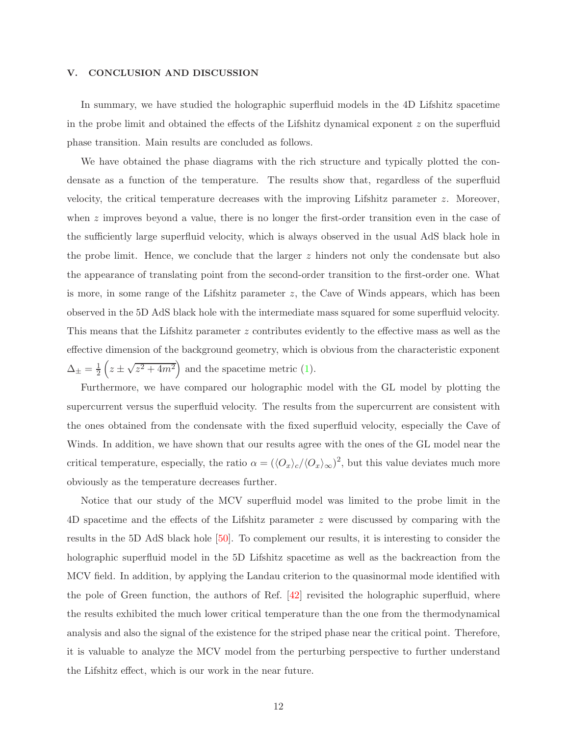#### V. CONCLUSION AND DISCUSSION

In summary, we have studied the holographic superfluid models in the 4D Lifshitz spacetime in the probe limit and obtained the effects of the Lifshitz dynamical exponent z on the superfluid phase transition. Main results are concluded as follows.

We have obtained the phase diagrams with the rich structure and typically plotted the condensate as a function of the temperature. The results show that, regardless of the superfluid velocity, the critical temperature decreases with the improving Lifshitz parameter z. Moreover, when  $z$  improves beyond a value, there is no longer the first-order transition even in the case of the sufficiently large superfluid velocity, which is always observed in the usual AdS black hole in the probe limit. Hence, we conclude that the larger  $z$  hinders not only the condensate but also the appearance of translating point from the second-order transition to the first-order one. What is more, in some range of the Lifshitz parameter  $z$ , the Cave of Winds appears, which has been observed in the 5D AdS black hole with the intermediate mass squared for some superfluid velocity. This means that the Lifshitz parameter z contributes evidently to the effective mass as well as the effective dimension of the background geometry, which is obvious from the characteristic exponent  $\Delta_{\pm}=\frac{1}{2}$  $\frac{1}{2}\left(z \pm \sqrt{z^2 + 4m^2}\right)$  and the spacetime metric (1).

Furthermore, we have compared our holographic model with the GL model by plotting the supercurrent versus the superfluid velocity. The results from the supercurrent are consistent with the ones obtained from the condensate with the fixed superfluid velocity, especially the Cave of Winds. In addition, we have shown that our results agree with the ones of the GL model near the critical temperature, especially, the ratio  $\alpha = (\langle O_x \rangle_c/\langle O_x \rangle_{\infty})^2$ , but this value deviates much more obviously as the temperature decreases further.

Notice that our study of the MCV superfluid model was limited to the probe limit in the 4D spacetime and the effects of the Lifshitz parameter z were discussed by comparing with the results in the 5D AdS black hole [50]. To complement our results, it is interesting to consider the holographic superfluid model in the 5D Lifshitz spacetime as well as the backreaction from the MCV field. In addition, by applying the Landau criterion to the quasinormal mode identified with the pole of Green function, the authors of Ref. [42] revisited the holographic superfluid, where the results exhibited the much lower critical temperature than the one from the thermodynamical analysis and also the signal of the existence for the striped phase near the critical point. Therefore, it is valuable to analyze the MCV model from the perturbing perspective to further understand the Lifshitz effect, which is our work in the near future.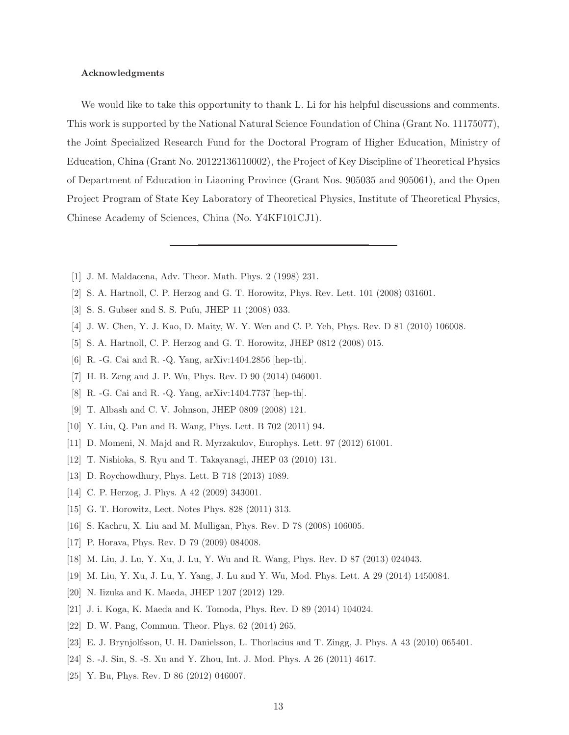#### Acknowledgments

We would like to take this opportunity to thank L. Li for his helpful discussions and comments. This work is supported by the National Natural Science Foundation of China (Grant No. 11175077), the Joint Specialized Research Fund for the Doctoral Program of Higher Education, Ministry of Education, China (Grant No. 20122136110002), the Project of Key Discipline of Theoretical Physics of Department of Education in Liaoning Province (Grant Nos. 905035 and 905061), and the Open Project Program of State Key Laboratory of Theoretical Physics, Institute of Theoretical Physics, Chinese Academy of Sciences, China (No. Y4KF101CJ1).

- [1] J. M. Maldacena, Adv. Theor. Math. Phys. 2 (1998) 231.
- [2] S. A. Hartnoll, C. P. Herzog and G. T. Horowitz, Phys. Rev. Lett. 101 (2008) 031601.
- [3] S. S. Gubser and S. S. Pufu, JHEP 11 (2008) 033.
- [4] J. W. Chen, Y. J. Kao, D. Maity, W. Y. Wen and C. P. Yeh, Phys. Rev. D 81 (2010) 106008.
- [5] S. A. Hartnoll, C. P. Herzog and G. T. Horowitz, JHEP 0812 (2008) 015.
- [6] R. -G. Cai and R. -Q. Yang, arXiv:1404.2856 [hep-th].
- [7] H. B. Zeng and J. P. Wu, Phys. Rev. D 90 (2014) 046001.
- [8] R. -G. Cai and R. -Q. Yang, arXiv:1404.7737 [hep-th].
- [9] T. Albash and C. V. Johnson, JHEP 0809 (2008) 121.
- [10] Y. Liu, Q. Pan and B. Wang, Phys. Lett. B 702 (2011) 94.
- [11] D. Momeni, N. Majd and R. Myrzakulov, Europhys. Lett. 97 (2012) 61001.
- [12] T. Nishioka, S. Ryu and T. Takayanagi, JHEP 03 (2010) 131.
- [13] D. Roychowdhury, Phys. Lett. B 718 (2013) 1089.
- [14] C. P. Herzog, J. Phys. A 42 (2009) 343001.
- [15] G. T. Horowitz, Lect. Notes Phys. 828 (2011) 313.
- [16] S. Kachru, X. Liu and M. Mulligan, Phys. Rev. D 78 (2008) 106005.
- [17] P. Horava, Phys. Rev. D 79 (2009) 084008.
- [18] M. Liu, J. Lu, Y. Xu, J. Lu, Y. Wu and R. Wang, Phys. Rev. D 87 (2013) 024043.
- [19] M. Liu, Y. Xu, J. Lu, Y. Yang, J. Lu and Y. Wu, Mod. Phys. Lett. A 29 (2014) 1450084.
- [20] N. Iizuka and K. Maeda, JHEP 1207 (2012) 129.
- [21] J. i. Koga, K. Maeda and K. Tomoda, Phys. Rev. D 89 (2014) 104024.
- [22] D. W. Pang, Commun. Theor. Phys. 62 (2014) 265.
- [23] E. J. Brynjolfsson, U. H. Danielsson, L. Thorlacius and T. Zingg, J. Phys. A 43 (2010) 065401.
- [24] S. -J. Sin, S. -S. Xu and Y. Zhou, Int. J. Mod. Phys. A 26 (2011) 4617.
- [25] Y. Bu, Phys. Rev. D 86 (2012) 046007.